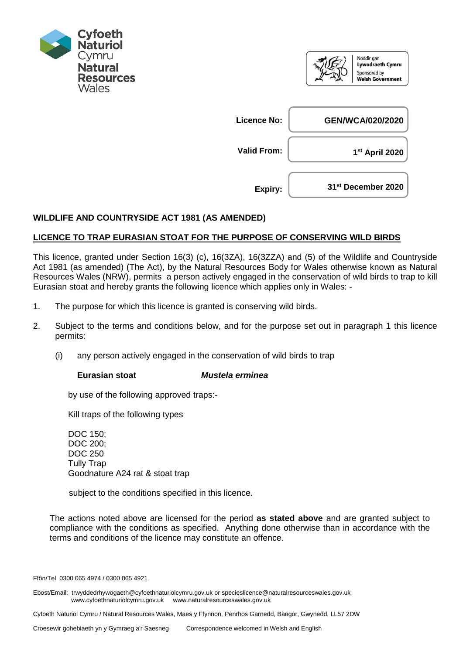



## **WILDLIFE AND COUNTRYSIDE ACT 1981 (AS AMENDED)**

## **LICENCE TO TRAP EURASIAN STOAT FOR THE PURPOSE OF CONSERVING WILD BIRDS**

This licence, granted under Section 16(3) (c), 16(3ZA), 16(3ZZA) and (5) of the Wildlife and Countryside Act 1981 (as amended) (The Act), by the Natural Resources Body for Wales otherwise known as Natural Resources Wales (NRW), permits a person actively engaged in the conservation of wild birds to trap to kill Eurasian stoat and hereby grants the following licence which applies only in Wales: -

- 1. The purpose for which this licence is granted is conserving wild birds.
- 2. Subject to the terms and conditions below, and for the purpose set out in paragraph 1 this licence permits:
	- (i) any person actively engaged in the conservation of wild birds to trap

## **Eurasian stoat** *Mustela erminea*

by use of the following approved traps:-

Kill traps of the following types

DOC 150; DOC 200; DOC 250 Tully Trap Goodnature A24 rat & stoat trap

subject to the conditions specified in this licence.

The actions noted above are licensed for the period **as stated above** and are granted subject to compliance with the conditions as specified. Anything done otherwise than in accordance with the terms and conditions of the licence may constitute an offence.

Ffôn/Tel 0300 065 4974 / 0300 065 4921

Ebost/Email: trwyddedrhywogaeth@cyfoethnaturiolcymru.gov.uk or specieslicence@naturalresourceswales.gov.uk www.cyfoethnaturiolcymru.gov.uk www.naturalresourceswales.gov.uk

Cyfoeth Naturiol Cymru / Natural Resources Wales, Maes y Ffynnon, Penrhos Garnedd, Bangor, Gwynedd, LL57 2DW